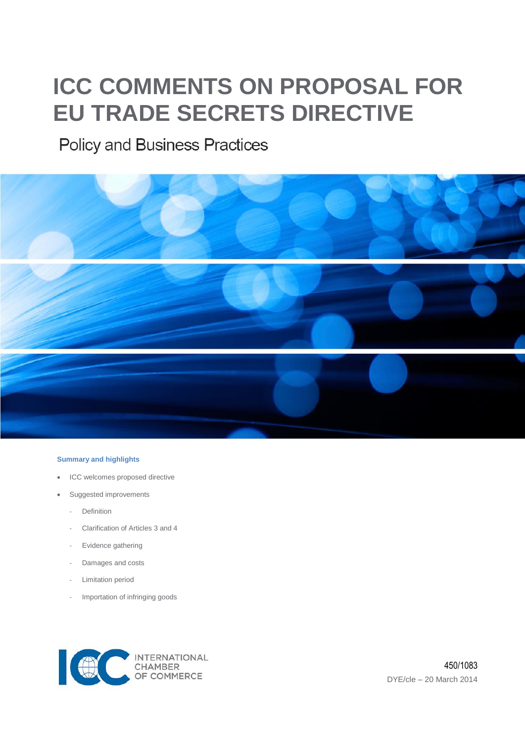# **ICC COMMENTS ON PROPOSAL FOR EU TRADE SECRETS DIRECTIVE**

## **Policy and Business Practices**



#### **Summary and highlights**

- ICC welcomes proposed directive
- Suggested improvements
	- **Definition**
	- Clarification of Articles 3 and 4
	- Evidence gathering
	- Damages and costs
	- Limitation period
	- Importation of infringing goods

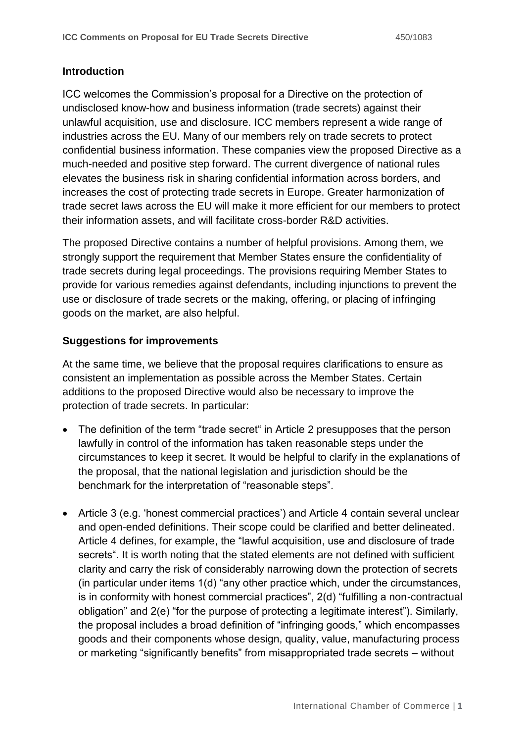#### **Introduction**

ICC welcomes the Commission's proposal for a Directive on the protection of undisclosed know-how and business information (trade secrets) against their unlawful acquisition, use and disclosure. ICC members represent a wide range of industries across the EU. Many of our members rely on trade secrets to protect confidential business information. These companies view the proposed Directive as a much-needed and positive step forward. The current divergence of national rules elevates the business risk in sharing confidential information across borders, and increases the cost of protecting trade secrets in Europe. Greater harmonization of trade secret laws across the EU will make it more efficient for our members to protect their information assets, and will facilitate cross-border R&D activities.

The proposed Directive contains a number of helpful provisions. Among them, we strongly support the requirement that Member States ensure the confidentiality of trade secrets during legal proceedings. The provisions requiring Member States to provide for various remedies against defendants, including injunctions to prevent the use or disclosure of trade secrets or the making, offering, or placing of infringing goods on the market, are also helpful.

#### **Suggestions for improvements**

At the same time, we believe that the proposal requires clarifications to ensure as consistent an implementation as possible across the Member States. Certain additions to the proposed Directive would also be necessary to improve the protection of trade secrets. In particular:

- The definition of the term "trade secret" in Article 2 presupposes that the person lawfully in control of the information has taken reasonable steps under the circumstances to keep it secret. It would be helpful to clarify in the explanations of the proposal, that the national legislation and jurisdiction should be the benchmark for the interpretation of "reasonable steps".
- Article 3 (e.g. 'honest commercial practices') and Article 4 contain several unclear and open-ended definitions. Their scope could be clarified and better delineated. Article 4 defines, for example, the "lawful acquisition, use and disclosure of trade secrets". It is worth noting that the stated elements are not defined with sufficient clarity and carry the risk of considerably narrowing down the protection of secrets (in particular under items 1(d) "any other practice which, under the circumstances, is in conformity with honest commercial practices", 2(d) "fulfilling a non-contractual obligation" and 2(e) "for the purpose of protecting a legitimate interest"). Similarly, the proposal includes a broad definition of "infringing goods," which encompasses goods and their components whose design, quality, value, manufacturing process or marketing "significantly benefits" from misappropriated trade secrets – without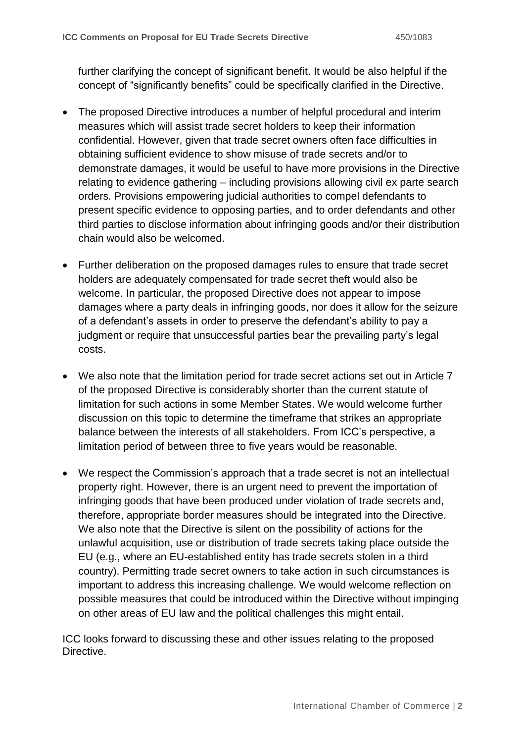further clarifying the concept of significant benefit. It would be also helpful if the concept of "significantly benefits" could be specifically clarified in the Directive.

- The proposed Directive introduces a number of helpful procedural and interim measures which will assist trade secret holders to keep their information confidential. However, given that trade secret owners often face difficulties in obtaining sufficient evidence to show misuse of trade secrets and/or to demonstrate damages, it would be useful to have more provisions in the Directive relating to evidence gathering – including provisions allowing civil ex parte search orders. Provisions empowering judicial authorities to compel defendants to present specific evidence to opposing parties, and to order defendants and other third parties to disclose information about infringing goods and/or their distribution chain would also be welcomed.
- Further deliberation on the proposed damages rules to ensure that trade secret holders are adequately compensated for trade secret theft would also be welcome. In particular, the proposed Directive does not appear to impose damages where a party deals in infringing goods, nor does it allow for the seizure of a defendant's assets in order to preserve the defendant's ability to pay a judgment or require that unsuccessful parties bear the prevailing party's legal costs.
- We also note that the limitation period for trade secret actions set out in Article 7 of the proposed Directive is considerably shorter than the current statute of limitation for such actions in some Member States. We would welcome further discussion on this topic to determine the timeframe that strikes an appropriate balance between the interests of all stakeholders. From ICC's perspective, a limitation period of between three to five years would be reasonable.
- We respect the Commission's approach that a trade secret is not an intellectual property right. However, there is an urgent need to prevent the importation of infringing goods that have been produced under violation of trade secrets and, therefore, appropriate border measures should be integrated into the Directive. We also note that the Directive is silent on the possibility of actions for the unlawful acquisition, use or distribution of trade secrets taking place outside the EU (e.g., where an EU-established entity has trade secrets stolen in a third country). Permitting trade secret owners to take action in such circumstances is important to address this increasing challenge. We would welcome reflection on possible measures that could be introduced within the Directive without impinging on other areas of EU law and the political challenges this might entail.

ICC looks forward to discussing these and other issues relating to the proposed Directive.